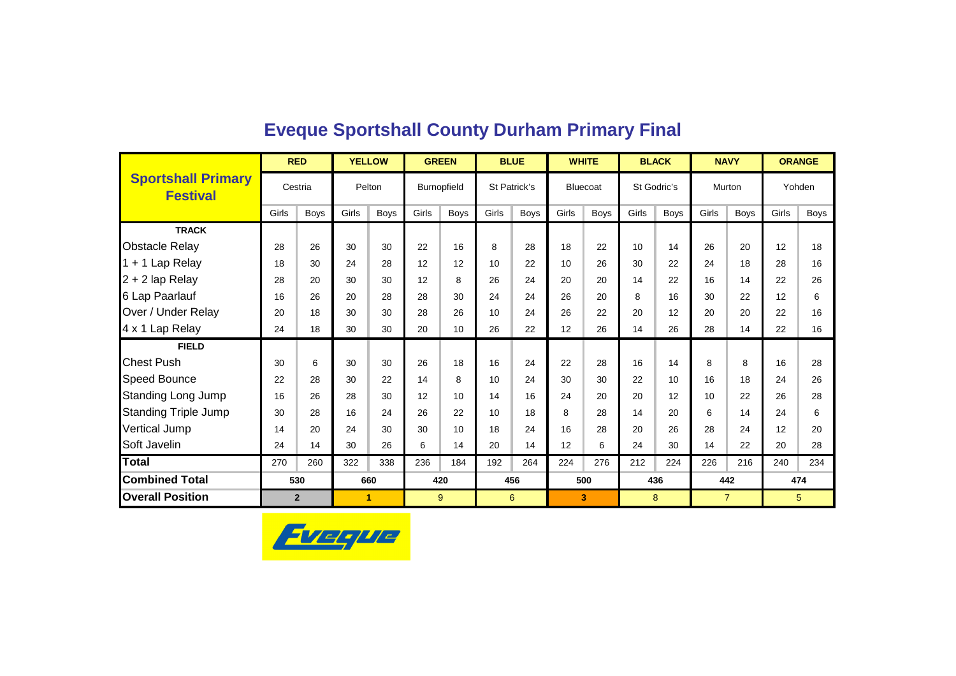|                                              |       | <b>RED</b>     |       | <b>YELLOW</b> |       | <b>GREEN</b> |       | <b>BLUE</b>  | <b>WHITE</b>    |             |       | <b>BLACK</b> |       | <b>NAVY</b>    |       | <b>ORANGE</b> |
|----------------------------------------------|-------|----------------|-------|---------------|-------|--------------|-------|--------------|-----------------|-------------|-------|--------------|-------|----------------|-------|---------------|
| <b>Sportshall Primary</b><br><b>Festival</b> |       | Cestria        |       | Pelton        |       | Burnopfield  |       | St Patrick's | <b>Bluecoat</b> |             |       | St Godric's  |       | Murton         |       | Yohden        |
|                                              | Girls | <b>Boys</b>    | Girls | <b>Boys</b>   | Girls | <b>Boys</b>  | Girls | <b>Boys</b>  | Girls           | <b>Boys</b> | Girls | <b>Boys</b>  | Girls | <b>Boys</b>    | Girls | Boys          |
| <b>TRACK</b>                                 |       |                |       |               |       |              |       |              |                 |             |       |              |       |                |       |               |
| <b>Obstacle Relay</b>                        | 28    | 26             | 30    | 30            | 22    | 16           | 8     | 28           | 18              | 22          | 10    | 14           | 26    | 20             | 12    | 18            |
| 1 + 1 Lap Relay                              | 18    | 30             | 24    | 28            | 12    | 12           | 10    | 22           | 10              | 26          | 30    | 22           | 24    | 18             | 28    | 16            |
| 2 + 2 lap Relay                              | 28    | 20             | 30    | 30            | 12    | 8            | 26    | 24           | 20              | 20          | 14    | 22           | 16    | 14             | 22    | 26            |
| 6 Lap Paarlauf                               | 16    | 26             | 20    | 28            | 28    | 30           | 24    | 24           | 26              | 20          | 8     | 16           | 30    | 22             | 12    | 6             |
| Over / Under Relay                           | 20    | 18             | 30    | 30            | 28    | 26           | 10    | 24           | 26              | 22          | 20    | 12           | 20    | 20             | 22    | 16            |
| 4 x 1 Lap Relay                              | 24    | 18             | 30    | 30            | 20    | 10           | 26    | 22           | 12              | 26          | 14    | 26           | 28    | 14             | 22    | 16            |
| <b>FIELD</b>                                 |       |                |       |               |       |              |       |              |                 |             |       |              |       |                |       |               |
| <b>Chest Push</b>                            | 30    | 6              | 30    | 30            | 26    | 18           | 16    | 24           | 22              | 28          | 16    | 14           | 8     | 8              | 16    | 28            |
| <b>Speed Bounce</b>                          | 22    | 28             | 30    | 22            | 14    | 8            | 10    | 24           | 30              | 30          | 22    | 10           | 16    | 18             | 24    | 26            |
| <b>Standing Long Jump</b>                    | 16    | 26             | 28    | 30            | 12    | 10           | 14    | 16           | 24              | 20          | 20    | 12           | 10    | 22             | 26    | 28            |
| <b>Standing Triple Jump</b>                  | 30    | 28             | 16    | 24            | 26    | 22           | 10    | 18           | 8               | 28          | 14    | 20           | 6     | 14             | 24    | 6             |
| Vertical Jump                                | 14    | 20             | 24    | 30            | 30    | 10           | 18    | 24           | 16              | 28          | 20    | 26           | 28    | 24             | 12    | 20            |
| Soft Javelin                                 | 24    | 14             | 30    | 26            | 6     | 14           | 20    | 14           | 12              | 6           | 24    | 30           | 14    | 22             | 20    | 28            |
| Total                                        | 270   | 260            | 322   | 338           | 236   | 184          | 192   | 264          | 224             | 276         | 212   | 224          | 226   | 216            | 240   | 234           |
| <b>Combined Total</b>                        |       | 530            |       | 660           |       | 420          | 456   |              |                 | 500         |       | 436          |       | 442            |       | 474           |
| <b>Overall Position</b>                      |       | $\overline{2}$ |       | 1.            |       | 9            |       | 6            | 3               |             |       | 8            |       | $\overline{7}$ |       | 5             |

### **Eveque Sportshall County Durham Primary Final**

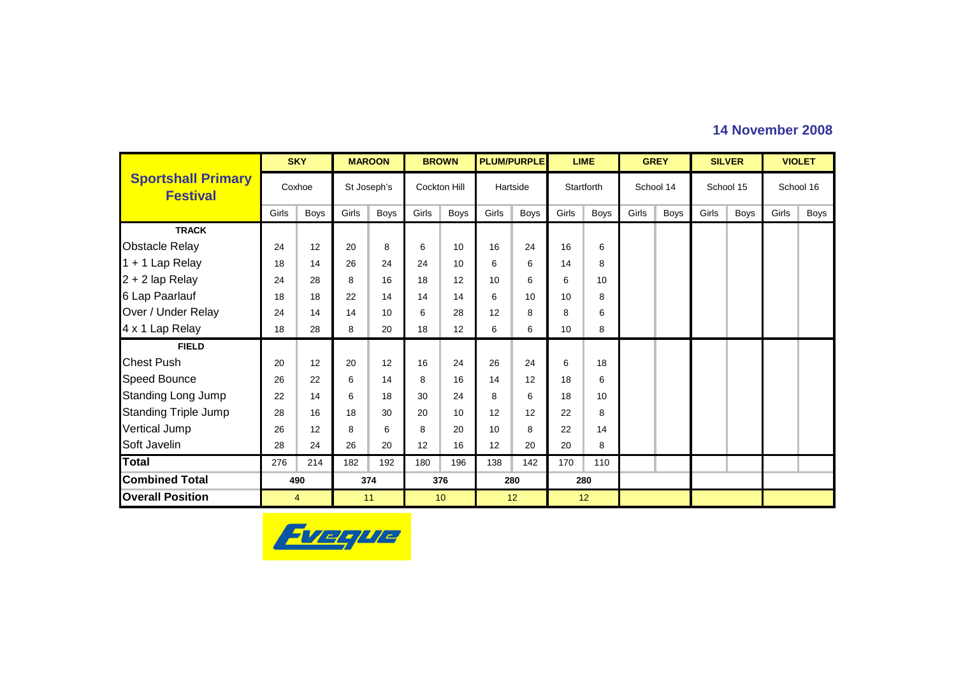|                                              |       | <b>SKY</b>  |       | <b>MAROON</b> |       | <b>BROWN</b>        |       | <b>PLUM/PURPLE</b> |                 | <b>LIME</b> |       | <b>GREY</b> |       | <b>SILVER</b> |       | <b>VIOLET</b> |
|----------------------------------------------|-------|-------------|-------|---------------|-------|---------------------|-------|--------------------|-----------------|-------------|-------|-------------|-------|---------------|-------|---------------|
| <b>Sportshall Primary</b><br><b>Festival</b> |       | Coxhoe      |       | St Joseph's   |       | <b>Cockton Hill</b> |       | Hartside           |                 | Startforth  |       | School 14   |       | School 15     |       | School 16     |
|                                              | Girls | <b>Boys</b> | Girls | <b>Boys</b>   | Girls | <b>Boys</b>         | Girls | Boys               | Girls           | Boys        | Girls | <b>Boys</b> | Girls | <b>Boys</b>   | Girls | <b>Boys</b>   |
| <b>TRACK</b>                                 |       |             |       |               |       |                     |       |                    |                 |             |       |             |       |               |       |               |
| <b>Obstacle Relay</b>                        | 24    | 12          | 20    | 8             | 6     | 10                  | 16    | 24                 | 16              | 6           |       |             |       |               |       |               |
| 1 + 1 Lap Relay                              | 18    | 14          | 26    | 24            | 24    | 10                  | 6     | 6                  | 14              | 8           |       |             |       |               |       |               |
| 2 + 2 lap Relay                              | 24    | 28          | 8     | 16            | 18    | 12                  | 10    | 6                  | 6               | 10          |       |             |       |               |       |               |
| 6 Lap Paarlauf                               | 18    | 18          | 22    | 14            | 14    | 14                  | 6     | 10                 | 10              | 8           |       |             |       |               |       |               |
| Over / Under Relay                           | 24    | 14          | 14    | 10            | 6     | 28                  | 12    | 8                  | 8               | 6           |       |             |       |               |       |               |
| 4 x 1 Lap Relay                              | 18    | 28          | 8     | 20            | 18    | 12                  | 6     | 6                  | 10 <sup>1</sup> | 8           |       |             |       |               |       |               |
| <b>FIELD</b>                                 |       |             |       |               |       |                     |       |                    |                 |             |       |             |       |               |       |               |
| <b>Chest Push</b>                            | 20    | 12          | 20    | 12            | 16    | 24                  | 26    | 24                 | 6               | 18          |       |             |       |               |       |               |
| <b>Speed Bounce</b>                          | 26    | 22          | 6     | 14            | 8     | 16                  | 14    | 12                 | 18              | 6           |       |             |       |               |       |               |
| <b>Standing Long Jump</b>                    | 22    | 14          | 6     | 18            | 30    | 24                  | 8     | 6                  | 18              | 10          |       |             |       |               |       |               |
| <b>Standing Triple Jump</b>                  | 28    | 16          | 18    | 30            | 20    | 10                  | 12    | 12                 | 22              | 8           |       |             |       |               |       |               |
| Vertical Jump                                | 26    | 12          | 8     | 6             | 8     | 20                  | 10    | 8                  | 22              | 14          |       |             |       |               |       |               |
| Soft Javelin                                 | 28    | 24          | 26    | 20            | 12    | 16                  | 12    | 20                 | 20              | 8           |       |             |       |               |       |               |
| <b>Total</b>                                 | 276   | 214         | 182   | 192           | 180   | 196                 | 138   | 142                | 170             | 110         |       |             |       |               |       |               |
| <b>Combined Total</b>                        |       | 490         |       | 374           |       | 376                 |       | 280                |                 | 280         |       |             |       |               |       |               |
| <b>Overall Position</b>                      |       | 4           |       | 11            |       | 10                  |       | 12                 |                 | 12          |       |             |       |               |       |               |

### **14 November 2008**

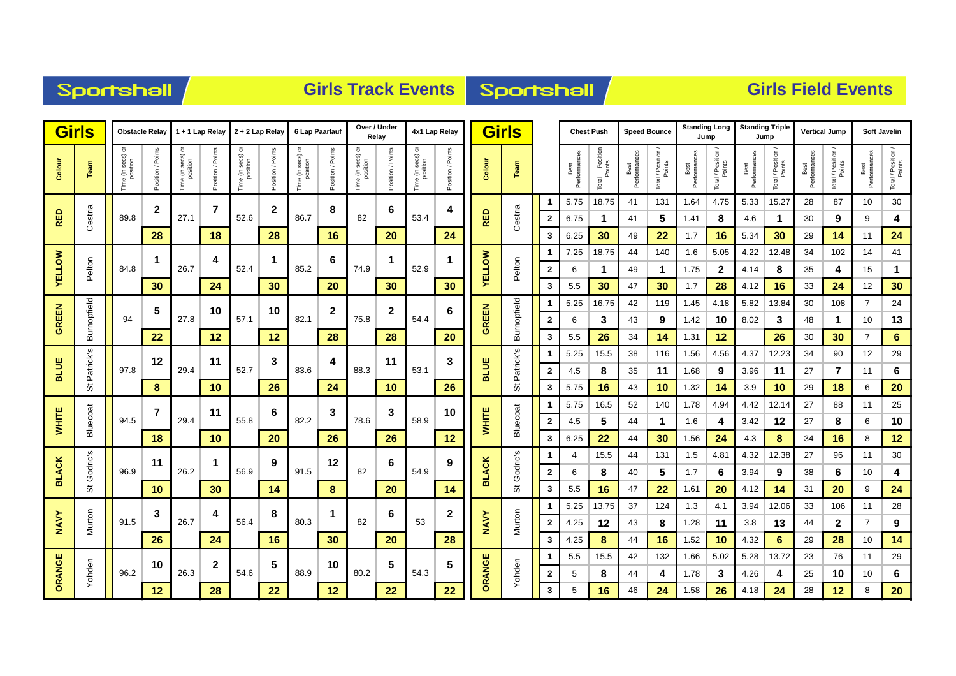|  | <b>Sportshall</b> |
|--|-------------------|
|  |                   |

### **Girls Track Events Sportshall**

| <b>Girls</b>  |                      |                                | <b>Obstacle Relay</b> |                              | 1 + 1 Lap Relay  |                                   | $2 + 2$ Lap Relay  | 6 Lap Paarlauf                     |                 | Over / Under             | Relay           |                               | 4x1 Lap Relay     |               | Girls                |                         |                      | <b>Chest Push</b>             |                      | <b>Speed Bounce</b> | <b>Standing Long</b><br>Jump |                  | <b>Standing Triple</b><br>Jump |                  | <b>Vertical Jump</b> |                              |                      | <b>Soft Javelin</b>          |
|---------------|----------------------|--------------------------------|-----------------------|------------------------------|------------------|-----------------------------------|--------------------|------------------------------------|-----------------|--------------------------|-----------------|-------------------------------|-------------------|---------------|----------------------|-------------------------|----------------------|-------------------------------|----------------------|---------------------|------------------------------|------------------|--------------------------------|------------------|----------------------|------------------------------|----------------------|------------------------------|
| Colour        | Team                 | ਰ<br>ime (in secs)<br>position | sition / Points       | ਠ<br>e (in secs)<br>position | Points<br>sition | secs) or<br>ition<br>ie ga<br>ime | / Points<br>sition | e (in secs) or<br>position<br>lime | sition / Points | ne (in secs)<br>position | sition / Points | Time (in secs) or<br>position | Position / Points | Colour        | Team                 |                         | Best<br>Performances | I Position<br>Points<br>Total | Best<br>Performances | Total / Position    | Performances<br>Best         | Total / Position | Performance<br>Best            | Total / Position | Best<br>Performances | Total / Position /<br>Points | Best<br>Performances | Total / Position /<br>Points |
|               |                      |                                | $\mathbf{2}$          |                              | 7                |                                   | 2                  |                                    | 8               |                          | 6               |                               | 4                 |               |                      | -1                      | 5.75                 | 18.75                         | 41                   | 131                 | 1.64                         | 4.75             | 5.33                           | 15.27            | 28                   | 87                           | 10                   | $30\,$                       |
| RED           | Cestria              | 89.8                           |                       | 27.1                         |                  | 52.6                              |                    | 86.7                               |                 | 82                       |                 | 53.4                          |                   | <b>RED</b>    | Cestria              | $\overline{2}$          | 6.75                 | $\mathbf 1$                   | 41                   | 5                   | 1.41                         | 8                | 4.6                            | $\mathbf 1$      | 30                   | 9                            | 9                    | 4                            |
|               |                      |                                | 28                    |                              | 18               |                                   | 28                 |                                    | 16              |                          | 20              |                               | 24                |               |                      | 3                       | 6.25                 | 30                            | 49                   | 22                  | 1.7                          | 16               | 5.34                           | 30               | 29                   | 14                           | 11                   | 24                           |
|               |                      |                                | 1                     |                              | 4                |                                   | 1                  |                                    | 6               |                          |                 |                               |                   |               |                      | -1                      | 7.25                 | 18.75                         | 44                   | 140                 | 1.6                          | 5.05             | 4.22                           | 12.48            | 34                   | 102                          | 14                   | 41                           |
| <b>YELLOW</b> | Pelton               | 84.8                           |                       | 26.7                         |                  | 52.4                              |                    | 85.2                               |                 | 74.9                     |                 | 52.9                          |                   | <b>AELLOM</b> | Pelton               | $\overline{2}$          | 6                    | $\mathbf 1$                   | 49                   | $\mathbf 1$         | 1.75                         | $\mathbf{2}$     | 4.14                           | 8                | 35                   | 4                            | 15                   | 1                            |
|               |                      |                                | 30                    |                              | 24               |                                   | 30                 |                                    | 20              |                          | 30              |                               | 30 <sub>o</sub>   |               |                      | 3                       | 5.5                  | 30                            | 47                   | 30                  | 1.7                          | 28               | 4.12                           | 16               | 33                   | 24                           | 12                   | 30                           |
|               | Burnopfield          |                                | 5                     |                              | 10               |                                   | 10                 |                                    | $\mathbf{2}$    |                          | $\mathbf{2}$    |                               | 6                 |               |                      |                         | 5.25                 | 16.75                         | 42                   | 119                 | 1.45                         | 4.18             | 5.82                           | 13.84            | 30                   | 108                          | $\overline{7}$       | 24                           |
| <b>GREEN</b>  |                      | 94                             |                       | 27.8                         |                  | 57.1                              |                    | 82.1                               |                 | 75.8                     |                 | 54.4                          |                   | <b>GREEN</b>  | Burnopfield          | $\overline{\mathbf{2}}$ | 6                    | 3                             | 43                   | 9                   | 1.42                         | 10               | 8.02                           | 3                | 48                   | 1                            | 10                   | 13                           |
|               |                      |                                | 22                    |                              | 12               |                                   | 12                 |                                    | 28              |                          | 28              |                               | 20                |               |                      | 3                       | 5.5                  | 26                            | 34                   | 14                  | 1.31                         | 12               |                                | 26               | 30                   | 30                           | $\overline{7}$       | $6\phantom{1}6$              |
|               | _თ                   |                                | 12                    |                              | 11               |                                   | 3                  |                                    | 4               |                          | 11              |                               | 3                 |               | ِّهِ                 |                         | 5.25                 | 15.5                          | 38                   | 116                 | 1.56                         | 4.56             | 4.37                           | 12.23            | 34                   | 90                           | 12                   | 29                           |
| <b>BLUE</b>   | Patrick <sup>'</sup> | 97.8                           |                       | 29.4                         |                  | 52.7                              |                    | 83.6                               |                 | 88.3                     |                 | 53.1                          |                   | <b>BLUE</b>   | Patrick <sup>1</sup> | $\mathbf{2}$            | 4.5                  | 8                             | 35                   | 11                  | 1.68                         | 9                | 3.96                           | 11               | 27                   | 7                            | 11                   | 6                            |
|               | 5                    |                                | 8                     |                              | 10               |                                   | 26                 |                                    | 24              |                          | 10              |                               | 26                |               |                      | 3                       | 5.75                 | 16                            | 43                   | 10                  | 1.32                         | 14               | 3.9                            | 10               | 29                   | 18                           | 6                    | 20                           |
|               |                      |                                | $\overline{7}$        |                              | 11               |                                   | 6                  |                                    | 3               |                          | 3               |                               | 10                |               |                      | -1                      | 5.75                 | 16.5                          | 52                   | 140                 | 1.78                         | 4.94             | 4.42                           | 12.14            | 27                   | 88                           | 11                   | 25                           |
| <b>WHITE</b>  | Bluecoat             | 94.5                           |                       | 29.4                         |                  | 55.8                              |                    | 82.2                               |                 | 78.6                     |                 | 58.9                          |                   | <b>WHITE</b>  | Bluecoat             | $\overline{2}$          | 4.5                  | 5                             | 44                   | $\mathbf 1$         | 1.6                          | 4                | 3.42                           | 12               | 27                   | 8                            | 6                    | 10                           |
|               |                      |                                | 18                    |                              | 10               |                                   | 20                 |                                    | 26              |                          | 26              |                               | 12                |               |                      | 3                       | 6.25                 | 22                            | 44                   | 30                  | 1.56                         | 24               | 4.3                            | 8                | 34                   | 16                           | 8                    | 12                           |
|               | S<br>Godric's        |                                | 11                    |                              | -1               |                                   | 9                  |                                    | 12              |                          | 6               |                               | 9                 |               | Godric's             |                         | 4                    | 15.5                          | 44                   | 131                 | 1.5                          | 4.81             | 4.32                           | 12.38            | 27                   | 96                           | 11                   | 30                           |
| <b>BLACK</b>  |                      | 96.9                           |                       | 26.2                         |                  | 56.9                              |                    | 91.5                               |                 | 82                       |                 | 54.9                          |                   | <b>BLACK</b>  |                      | $\overline{2}$          | 6                    | 8                             | 40                   | 5                   | 1.7                          | 6                | 3.94                           | 9                | 38                   | 6                            | 10                   | 4                            |
|               | ö                    |                                | 10                    |                              | 30               |                                   | 14                 |                                    | 8               |                          | 20              |                               | 14                |               | ö                    | 3                       | 5.5                  | 16                            | 47                   | 22                  | 1.61                         | 20               | 4.12                           | 14               | 31                   | 20                           | 9                    | 24                           |
|               |                      |                                | 3                     |                              | 4                |                                   | 8                  |                                    | 1               |                          | 6               |                               | 2                 |               |                      |                         | 5.25                 | 13.75                         | 37                   | 124                 | 1.3                          | 4.1              | 3.94                           | 12.06            | 33                   | 106                          | 11                   | 28                           |
| <b>NAVY</b>   | Murton               | 91.5                           |                       | 26.7                         |                  | 56.4                              |                    | 80.3                               |                 | 82                       |                 | 53                            |                   | <b>NAVY</b>   | Murton               | $\overline{2}$          | 4.25                 | 12                            | 43                   | 8                   | 1.28                         | 11               | 3.8                            | 13               | 44                   | $\mathbf{2}$                 | $\overline{7}$       | 9                            |
|               |                      |                                | 26                    |                              | 24               |                                   | 16                 |                                    | 30              |                          | 20              |                               | 28                |               |                      | 3                       | 4.25                 | 8                             | 44                   | 16                  | 1.52                         | 10               | 4.32                           | 6                | 29                   | 28                           | 10                   | 14                           |
| ORANGE        |                      | 96.2                           | 10                    |                              | 2                | 54.6                              | 5                  | 88.9                               | 10              |                          | 5               | 54.3                          | 5                 | ORANGE        |                      |                         | 5.5                  | 15.5                          | 42                   | 132                 | 1.66                         | 5.02             | 5.28                           | 13.72            | 23                   | 76                           | 11                   | 29                           |
|               | Yohden               |                                |                       | 26.3                         |                  |                                   |                    |                                    |                 | 80.2                     |                 |                               |                   |               | Yohden               | $\mathbf{2}$            | 5                    | 8                             | 44                   | 4                   | 1.78                         | 3                | 4.26                           | 4                | 25                   | 10                           | 10                   | 6                            |
|               |                      |                                | 12                    |                              | 28               |                                   | 22                 |                                    | 12              |                          | 22              |                               | 22                |               |                      | 3                       | 5                    | 16                            | 46                   | 24                  | 1.58                         | 26               | 4.18                           | 24               | 28                   | 12                           | 8                    | 20                           |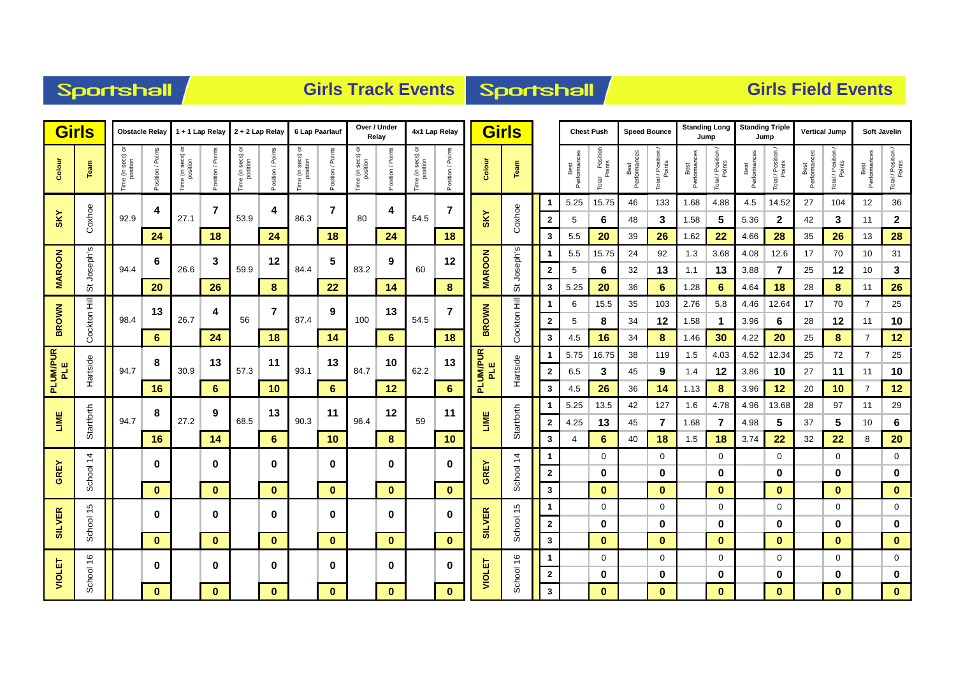| <b>Sportshall</b> |
|-------------------|
|-------------------|

### **Girls Track Events Sportshall**

| <b>Girls</b>    |               |                            | <b>Obstacle Relay</b> |                                        | 1 + 1 Lap Relay  | $2 + 2$ Lap Relay                        |                  |                               | 6 Lap Paarlauf   | Over / Under                 | Relay            | 4x1 Lap Relay                 |                   |                 | <b>Girls</b>  |                   |                      | <b>Chest Push</b>             |                      | <b>Speed Bounce</b>          |                      | <b>Standing Long</b><br>Jump | <b>Standing Triple</b> | Jump                         | <b>Vertical Jump</b> |                         |                      | <b>Soft Javelin</b>          |
|-----------------|---------------|----------------------------|-----------------------|----------------------------------------|------------------|------------------------------------------|------------------|-------------------------------|------------------|------------------------------|------------------|-------------------------------|-------------------|-----------------|---------------|-------------------|----------------------|-------------------------------|----------------------|------------------------------|----------------------|------------------------------|------------------------|------------------------------|----------------------|-------------------------|----------------------|------------------------------|
| Colour          | Team          | Time (in secs)<br>position | osition / Points      | ᅙ<br>e (in secs) o<br>position<br>Time | osition / Points | secs) or<br>ition<br>Time (in s<br>posit | osition / Points | Time (in secs) or<br>position | osition / Points | Fime (in secs) c<br>position | osition / Points | Time (in secs) or<br>position | Position / Points | Colour          | Team          |                   | Best<br>Performances | l Position<br>Points<br>Total | Best<br>Performances | Total / Position /<br>Points | Best<br>Performances | Total / Position /<br>Points | Best<br>Performances   | Total / Position /<br>Points | Best<br>Performances | Total / Position /      | Best<br>Performances | Total / Position /<br>Points |
|                 |               |                            | 4                     |                                        | $\overline{7}$   |                                          | 4                |                               | 7                |                              | 4                |                               | $\overline{7}$    |                 |               | -1                | 5.25                 | 15.75                         | 46                   | 133                          | 1.68                 | 4.88                         | 4.5                    | 14.52                        | 27                   | 104                     | 12                   | 36                           |
| <b>SKY</b>      | Coxhoe        | 92.9                       |                       | 27.1                                   |                  | 53.9                                     |                  | 86.3                          |                  | 80                           |                  | 54.5                          |                   | <b>SKY</b>      | Coxhoe        | $\mathbf{2}$      | 5                    | 6                             | 48                   | 3                            | 1.58                 | 5                            | 5.36                   | $\mathbf{2}$                 | 42                   | 3                       | 11                   | $\mathbf 2$                  |
|                 |               |                            | 24                    |                                        | 18               |                                          | 24               |                               | 18               |                              | 24               |                               | 18                |                 |               | 3                 | 5.5                  | 20                            | 39                   | 26                           | 1.62                 | 22                           | 4.66                   | 28                           | 35                   | 26                      | 13                   | 28                           |
|                 | S             |                            | 6                     |                                        | 3                |                                          | 12               |                               | 5                |                              | 9                |                               | 12                |                 | ဖ             |                   | 5.5                  | 15.75                         | 24                   | 92                           | 1.3                  | 3.68                         | 4.08                   | 12.6                         | 17                   | 70                      | 10                   | 31                           |
| <b>MAROON</b>   | St Joseph'    | 94.4                       |                       | 26.6                                   |                  | 59.9                                     |                  | 84.4                          |                  | 83.2                         |                  | 60                            |                   | <b>MAROON</b>   | St Joseph'    | $\overline{2}$    | 5                    | 6                             | 32                   | 13                           | 1.1                  | 13                           | 3.88                   | 7                            | 25                   | 12                      | 10                   | $\mathbf{3}$                 |
|                 |               |                            | 20                    |                                        | 26               |                                          | 8                |                               | 22               |                              | 14               |                               | 8                 |                 |               | 3                 | 5.25                 | 20                            | 36                   | 6                            | 1.28                 | 6                            | 4.64                   | 18                           | 28                   | 8                       | 11                   | 26                           |
|                 | Cockton Hill  |                            | 13                    |                                        | 4                |                                          | $\overline{7}$   |                               | 9                |                              | 13               |                               | 7                 |                 | Cockton Hill  | -1                | 6                    | 15.5                          | 35                   | 103                          | 2.76                 | 5.8                          | 4.46                   | 12.64                        | 17                   | 70                      | $\overline{7}$       | 25                           |
| <b>BROWN</b>    |               | 98.4                       |                       | 26.7                                   |                  | 56                                       |                  | 87.4                          |                  | 100                          |                  | 54.5                          |                   | <b>BROWN</b>    |               | $\mathbf{2}$      | 5                    | 8                             | 34                   | 12                           | 1.58                 | $\mathbf 1$                  | 3.96                   | 6                            | 28                   | 12                      | 11                   | 10                           |
|                 |               |                            | 6                     |                                        | 24               |                                          | 18               |                               | 14               |                              | 6                |                               | 18                |                 |               | 3                 | 4.5                  | 16                            | 34                   | 8                            | 1.46                 | 30                           | 4.22                   | 20                           | 25                   | 8                       | $\overline{7}$       | 12                           |
| PLUM/PUR<br>PLE |               |                            | 8                     |                                        | 13               |                                          | 11               |                               | 13               |                              | 10               |                               | 13                | PLUM/PUR<br>PLE |               |                   | 5.75                 | 16.75                         | 38                   | 119                          | 1.5                  | 4.03                         | 4.52                   | 12.34                        | 25                   | 72                      | $\overline{7}$       | 25                           |
|                 | Hartside      | 94.7                       |                       | 30.9                                   |                  | 57.3                                     |                  | 93.1                          |                  | 84.7                         |                  | 62.2                          |                   |                 | Hartside      | $\overline{2}$    | 6.5                  | 3                             | 45                   | 9                            | 1.4                  | 12                           | 3.86                   | 10                           | 27                   | 11                      | 11                   | 10                           |
|                 |               |                            | 16                    |                                        | 6                |                                          | 10               |                               | 6                |                              | 12               |                               | 6                 |                 |               | 3                 | 4.5                  | 26                            | 36                   | 14                           | 1.13                 | 8                            | 3.96                   | 12                           | 20                   | 10                      | $\overline{7}$       | 12                           |
|                 |               |                            | 8                     |                                        | 9                |                                          | 13               |                               | 11               |                              | 12               |                               | 11                |                 |               |                   | 5.25                 | 13.5                          | 42                   | 127                          | 1.6                  | 4.78                         | 4.96                   | 13.68                        | 28                   | 97                      | 11                   | 29                           |
| LIME            | Startforth    | 94.7                       |                       | 27.2                                   |                  | 68.5                                     |                  | 90.3                          |                  | 96.4                         |                  | 59                            |                   | LIME            | Startforth    | $\mathbf{2}$      | 4.25                 | 13                            | 45                   | $\overline{7}$               | 1.68                 | $\overline{7}$               | 4.98                   | 5                            | 37                   | 5                       | 10                   | $\bf 6$                      |
|                 |               |                            | 16                    |                                        | 14               |                                          | 6                |                               | 10               |                              | 8                |                               | 10                |                 |               | 3                 |                      | 6                             | 40                   | 18                           | 1.5                  | 18                           | 3.74                   | 22                           | 32                   | 22                      | 8                    | 20                           |
|                 | $\ddot{4}$    |                            | 0                     |                                        | $\mathbf 0$      |                                          | 0                |                               | 0                |                              | 0                |                               | 0                 |                 | $\frac{4}{3}$ |                   |                      | 0                             |                      | $\mathbf 0$                  |                      | $\mathbf 0$                  |                        | 0                            |                      | $\mathbf 0$             |                      | $\mathbf 0$                  |
| <b>GREY</b>     | School        |                            |                       |                                        |                  |                                          |                  |                               |                  |                              |                  |                               |                   | <b>GREY</b>     | School        | $\mathbf{2}$      |                      | 0                             |                      | 0                            |                      | 0                            |                        | 0                            |                      | 0                       |                      | $\bf{0}$                     |
|                 |               |                            | $\bf{0}$              |                                        | $\bf{0}$         |                                          | $\mathbf{0}$     |                               | $\mathbf{0}$     |                              | $\mathbf{0}$     |                               | $\mathbf{0}$      |                 |               | $\mathbf{3}$      |                      | $\bf{0}$<br>0                 |                      | $\bf{0}$<br>$\mathbf 0$      |                      | $\bf{0}$<br>$\mathbf 0$      |                        | $\bf{0}$<br>$\mathbf 0$      |                      | $\bf{0}$<br>$\mathbf 0$ |                      | $\mathbf{0}$<br>$\mathbf 0$  |
| <b>SILVER</b>   |               |                            | $\bf{0}$              |                                        | $\bf{0}$         |                                          | $\bf{0}$         |                               | $\bf{0}$         |                              | 0                |                               | 0                 | <b>SILVER</b>   | 15            | -1                |                      | 0                             |                      |                              |                      |                              |                        |                              |                      | 0                       |                      |                              |
|                 | School 15     |                            | $\bf{0}$              |                                        | $\mathbf{0}$     |                                          | $\mathbf{0}$     |                               | $\mathbf{0}$     |                              |                  |                               | $\mathbf{0}$      |                 | School        | $\mathbf{2}$<br>3 |                      | $\bf{0}$                      |                      | 0                            |                      | 0                            |                        | 0<br>$\bf{0}$                |                      | $\bf{0}$                |                      | $\bf{0}$                     |
|                 |               |                            |                       |                                        |                  |                                          |                  |                               |                  |                              | $\mathbf{0}$     |                               |                   |                 |               | -1                |                      | 0                             |                      | $\bf{0}$<br>$\mathbf 0$      |                      | $\mathbf{0}$<br>$\mathbf 0$  |                        | $\mathbf 0$                  |                      | 0                       |                      | $\mathbf{0}$<br>$\pmb{0}$    |
| VIOLET          | $\frac{6}{5}$ |                            | $\bf{0}$              |                                        | $\mathbf 0$      |                                          | 0                |                               | 0                |                              | 0                |                               | 0                 | VIOLET          | $\frac{6}{5}$ | $\mathbf{2}$      |                      | 0                             |                      | 0                            |                      | 0                            |                        | 0                            |                      | 0                       |                      | $\bf{0}$                     |
|                 | School        |                            | $\mathbf{0}$          |                                        | $\mathbf{0}$     |                                          | $\mathbf{0}$     |                               | $\mathbf{0}$     |                              | $\mathbf{0}$     |                               | $\mathbf{0}$      |                 | School        | 3                 |                      | $\bf{0}$                      |                      | $\bf{0}$                     |                      | $\mathbf{0}$                 |                        | $\bf{0}$                     |                      | $\bf{0}$                |                      | $\mathbf{0}$                 |
|                 |               |                            |                       |                                        |                  |                                          |                  |                               |                  |                              |                  |                               |                   |                 |               |                   |                      |                               |                      |                              |                      |                              |                        |                              |                      |                         |                      |                              |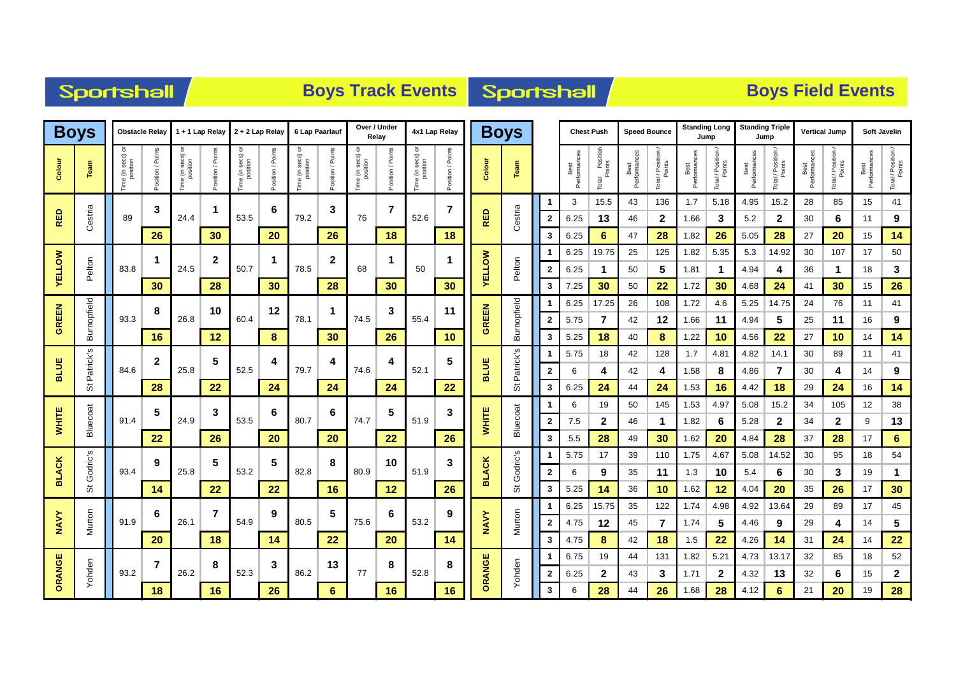| Sportshall |  |  |
|------------|--|--|
|            |  |  |

# **Boys Track Events Boys Track Events**

| <b>Boys</b>   |             |                                | <b>Obstacle Relay</b> |                              | 1 + 1 Lap Relay   |                                   | 2 + 2 Lap Relay   | 6 Lap Paarlauf                |              | Over / Under                | Relay          |                               | 4x1 Lap Relay     |               | <b>Boys</b> |                         |                      | <b>Chest Push</b>           |                      | <b>Speed Bounce</b>        | <b>Standing Long</b><br>Jump |                  | <b>Standing Triple</b> | Jump             | <b>Vertical Jump</b> |                              |                      | <b>Soft Javelin</b>          |
|---------------|-------------|--------------------------------|-----------------------|------------------------------|-------------------|-----------------------------------|-------------------|-------------------------------|--------------|-----------------------------|----------------|-------------------------------|-------------------|---------------|-------------|-------------------------|----------------------|-----------------------------|----------------------|----------------------------|------------------------------|------------------|------------------------|------------------|----------------------|------------------------------|----------------------|------------------------------|
| Colour        | Team        | secs)<br>position<br>ime (in s | sition / Points       | ime (in secs) or<br>position | /Points<br>sition | secs) or<br>position<br>ime (in : | /Points<br>sition | Time (in secs) or<br>position | tion / Point | ime (in secs) c<br>position | sition / Point | Time (in secs) or<br>position | Position / Points | Colour        | Team        |                         | Best<br>Performances | Position<br>Points<br>Total | Best<br>Performances | Total / Position<br>Points | Best<br>Performances         | Total / Position | Performance<br>Best    | Total / Position | Best<br>Performances | Total / Position /<br>Points | Best<br>Performances | Total / Position /<br>Points |
|               |             |                                | 3                     |                              | -1                |                                   | 6                 |                               | 3            |                             | $\overline{7}$ |                               | $\overline{7}$    |               |             |                         | 3                    | 15.5                        | 43                   | 136                        | 1.7                          | 5.18             | 4.95                   | 15.2             | 28                   | 85                           | 15                   | 41                           |
| RED           | Cestria     | 89                             |                       | 24.4                         |                   | 53.5                              |                   | 79.2                          |              | 76                          |                | 52.6                          |                   | <b>RED</b>    | Cestria     | $\mathbf{2}$            | 6.25                 | 13                          | 46                   | $\mathbf{2}$               | 1.66                         | 3                | 5.2                    | $\mathbf{2}$     | 30                   | 6                            | 11                   | 9                            |
|               |             |                                | 26                    |                              | 30 <sub>o</sub>   |                                   | 20                |                               | 26           |                             | 18             |                               | 18                |               |             | 3                       | 6.25                 | 6                           | 47                   | 28                         | 1.82                         | 26               | 5.05                   | 28               | 27                   | 20                           | 15                   | 14                           |
|               |             |                                | 1                     |                              | $\mathbf{2}$      |                                   | 1                 |                               | $\mathbf{2}$ |                             |                |                               |                   |               |             |                         | 6.25                 | 19.75                       | 25                   | 125                        | 1.82                         | 5.35             | 5.3                    | 14.92            | 30                   | 107                          | 17                   | 50                           |
| <b>YELLOW</b> | Pelton      | 83.8                           |                       | 24.5                         |                   | 50.7                              |                   | 78.5                          |              | 68                          |                | 50                            |                   | <b>VELLOW</b> | Pelton      | $\mathbf{2}$            | 6.25                 | $\mathbf 1$                 | 50                   | 5                          | 1.81                         | $\mathbf 1$      | 4.94                   | 4                | 36                   | -1                           | 18                   | 3                            |
|               |             |                                | 30                    |                              | 28                |                                   | 30                |                               | 28           |                             | 30             |                               | 30                |               |             | 3                       | 7.25                 | 30                          | 50                   | 22                         | 1.72                         | 30               | 4.68                   | 24               | 41                   | 30                           | 15                   | 26                           |
|               | Burnopfield |                                | 8                     |                              | 10                |                                   | 12                |                               | 1            |                             | 3              |                               | 11                |               | Burnopfield |                         | 6.25                 | 17.25                       | 26                   | 108                        | 1.72                         | 4.6              | 5.25                   | 14.75            | 24                   | 76                           | 11                   | 41                           |
| <b>GREEN</b>  |             | 93.3                           |                       | 26.8                         |                   | 60.4                              |                   | 78.1                          |              | 74.5                        |                | 55.4                          |                   | <b>GREEN</b>  |             | $\mathbf{2}$            | 5.75                 | 7                           | 42                   | 12                         | 1.66                         | 11               | 4.94                   | 5                | 25                   | 11                           | 16                   | 9                            |
|               | _ო          |                                | 16                    |                              | 12                |                                   | 8                 |                               | 30           |                             | 26             |                               | 10                |               |             | 3                       | 5.25                 | 18                          | 40                   | 8                          | 1.22                         | 10               | 4.56                   | 22               | 27                   | 10                           | 14                   | 14                           |
| <b>BLUE</b>   | Patrick's   | 84.6                           | $\overline{2}$        | 25.8                         | 5                 | 52.5                              | 4                 | 79.7                          | 4            | 74.6                        | 4              | 52.1                          | 5                 | <b>BLUE</b>   | Patrick's   |                         | 5.75                 | 18                          | 42                   | 128                        | 1.7                          | 4.81             | 4.82                   | 14.1             | 30                   | 89                           | 11                   | 41                           |
|               | 5           |                                | 28                    |                              | 22                |                                   | 24                |                               |              |                             | 24             |                               | 22                |               | ö           | 2                       | 6                    | 4<br>24                     | 42                   | 4<br>24                    | 1.58                         | 8<br>16          | 4.86                   | 7                | 30                   | 4<br>24                      | 14<br>16             | 9                            |
|               |             |                                |                       |                              |                   |                                   |                   |                               | 24           |                             |                |                               |                   |               |             | 3                       | 6.25<br>6            | 19                          | 44<br>50             | 145                        | 1.53<br>1.53                 | 4.97             | 4.42<br>5.08           | 18<br>15.2       | 29<br>34             | 105                          | 12                   | 14<br>38                     |
| <b>WHITE</b>  | Bluecoat    | 91.4                           | 5                     | 24.9                         | 3                 | 53.5                              | 6                 | 80.7                          | 6            | 74.7                        | 5              | 51.9                          | 3                 | <b>WHITE</b>  | Bluecoat    | $\mathbf{2}$            | 7.5                  | $\mathbf{2}$                | 46                   | 1                          | 1.82                         | 6                | 5.28                   | $\overline{2}$   | 34                   | $\mathbf 2$                  | 9                    | 13                           |
|               |             |                                | 22                    |                              | 26                |                                   | 20                |                               | 20           |                             | 22             |                               | 26                |               |             | 3                       | 5.5                  | 28                          | 49                   | 30                         | 1.62                         | 20               | 4.84                   | 28               | 37                   | 28                           | 17                   | 6                            |
|               | s           |                                |                       |                              |                   |                                   |                   |                               |              |                             |                |                               |                   |               |             |                         | 5.75                 | 17                          | 39                   | 110                        | 1.75                         | 4.67             | 5.08                   | 14.52            | 30                   | 95                           | 18                   | 54                           |
| <b>BLACK</b>  | Godric's    | 93.4                           | 9                     | 25.8                         | 5                 | 53.2                              | 5                 | 82.8                          | 8            | 80.9                        | 10             | 51.9                          | 3                 | <b>BLACK</b>  | Godric's    | $\mathbf{2}$            | 6                    | 9                           | 35                   | 11                         | 1.3                          | 10               | 5.4                    | 6                | 30                   | 3                            | 19                   | 1                            |
|               | ö           |                                | 14                    |                              | 22                |                                   | 22                |                               | 16           |                             | 12             |                               | 26                |               | ö           | 3                       | 5.25                 | 14                          | 36                   | 10                         | 1.62                         | 12               | 4.04                   | 20               | 35                   | 26                           | 17                   | 30                           |
|               |             |                                |                       |                              |                   |                                   |                   |                               |              |                             |                |                               |                   |               |             |                         | 6.25                 | 15.75                       | 35                   | 122                        | 1.74                         | 4.98             | 4.92                   | 13.64            | 29                   | 89                           | 17                   | 45                           |
| <b>NAVY</b>   | Murton      | 91.9                           | 6                     | 26.1                         |                   | 54.9                              | 9                 | 80.5                          | 5            | 75.6                        | 6              | 53.2                          | 9                 | <b>NAVY</b>   | Murton      | $\overline{\mathbf{2}}$ | 4.75                 | 12                          | 45                   | 7                          | 1.74                         | 5                | 4.46                   | 9                | 29                   | 4                            | 14                   | 5                            |
|               |             |                                | 20                    |                              | 18                |                                   | 14                |                               | 22           |                             | 20             |                               | 14                |               |             | 3                       | 4.75                 | 8                           | 42                   | 18                         | 1.5                          | 22               | 4.26                   | 14               | 31                   | 24                           | 14                   | 22                           |
|               |             |                                | $\overline{7}$        |                              | 8                 |                                   | 3                 |                               |              |                             | 8              |                               |                   |               |             | 1                       | 6.75                 | 19                          | 44                   | 131                        | 1.82                         | 5.21             | 4.73                   | 13.17            | 32                   | 85                           | 18                   | 52                           |
| ORANGE        | Yohden      | 93.2                           |                       | 26.2                         |                   | 52.3                              |                   | 86.2                          | 13           | 77                          |                | 52.8                          | 8                 | ORANGE        | Yohden      | $\mathbf{2}$            | 6.25                 | $\mathbf{2}$                | 43                   | 3                          | 1.71                         | $\mathbf{2}$     | 4.32                   | 13               | 32                   | 6                            | 15                   | $\mathbf{2}$                 |
|               |             |                                | 18                    |                              | 16                |                                   | 26                |                               | 6            |                             | 16             |                               | 16                |               |             | 3                       |                      | 28                          | 44                   | 26                         | 1.68                         | 28               | 4.12                   | 6                | 21                   | 20                           | 19                   | 28                           |